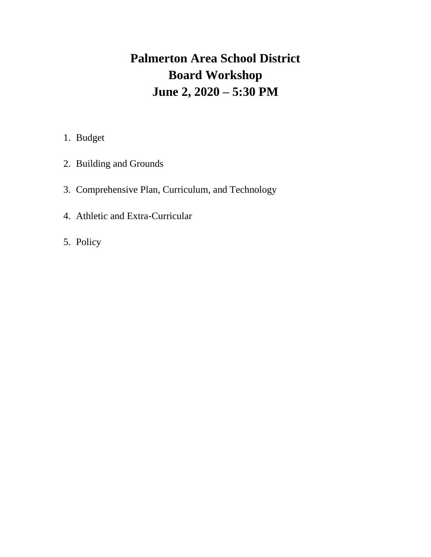# **Palmerton Area School District Board Workshop June 2, 2020 – 5:30 PM**

- 1. Budget
- 2. Building and Grounds
- 3. Comprehensive Plan, Curriculum, and Technology
- 4. Athletic and Extra-Curricular
- 5. Policy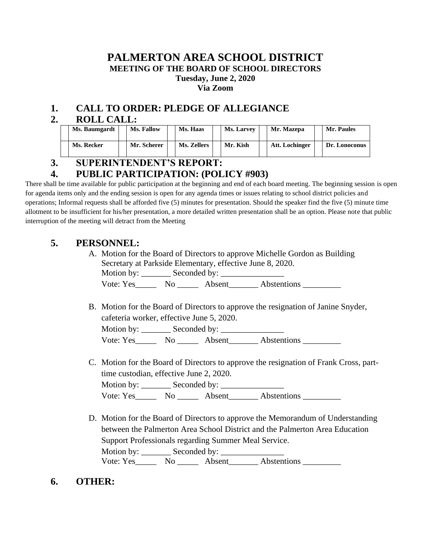#### **PALMERTON AREA SCHOOL DISTRICT MEETING OF THE BOARD OF SCHOOL DIRECTORS Tuesday, June 2, 2020 Via Zoom**

## **1. CALL TO ORDER: PLEDGE OF ALLEGIANCE**

## **2. ROLL CALL:**

| Ms. Baumgardt | Ms. Fallow  | Ms. Haas    | <b>Ms. Larvey</b> | Mr. Mazepa     | Mr. Paules    |
|---------------|-------------|-------------|-------------------|----------------|---------------|
| Ms. Recker    | Mr. Scherer | Ms. Zellers | Mr. Kish          | Att. Lochinger | Dr. Lonoconus |

# **3. SUPERINTENDENT'S REPORT:**

# **4. PUBLIC PARTICIPATION: (POLICY #903)**

There shall be time available for public participation at the beginning and end of each board meeting. The beginning session is open for agenda items only and the ending session is open for any agenda times or issues relating to school district policies and operations; Informal requests shall be afforded five (5) minutes for presentation. Should the speaker find the five (5) minute time allotment to be insufficient for his/her presentation, a more detailed written presentation shall be an option. Please note that public interruption of the meeting will detract from the Meeting

## **5. PERSONNEL:**

A. Motion for the Board of Directors to approve Michelle Gordon as Building Secretary at Parkside Elementary, effective June 8, 2020. Motion by: \_\_\_\_\_\_\_ Seconded by: \_\_\_\_\_\_\_\_\_\_\_\_\_\_\_

Vote: Yes\_\_\_\_\_\_\_ No \_\_\_\_\_\_ Absent\_\_\_\_\_\_\_ Abstentions \_\_\_\_\_\_\_\_\_

B. Motion for the Board of Directors to approve the resignation of Janine Snyder, cafeteria worker, effective June 5, 2020.

Motion by: Seconded by: Vote: Yes\_\_\_\_\_\_\_ No \_\_\_\_\_\_\_ Absent\_\_\_\_\_\_\_\_ Abstentions \_\_\_\_\_\_\_\_\_

C. Motion for the Board of Directors to approve the resignation of Frank Cross, parttime custodian, effective June 2, 2020. Motion by: Seconded by:

Vote: Yes\_\_\_\_\_\_\_ No \_\_\_\_\_\_ Absent\_\_\_\_\_\_\_\_ Abstentions \_\_\_\_\_\_\_\_\_

D. Motion for the Board of Directors to approve the Memorandum of Understanding between the Palmerton Area School District and the Palmerton Area Education Support Professionals regarding Summer Meal Service.

Motion by: \_\_\_\_\_\_\_ Seconded by: \_\_\_\_\_\_\_\_\_\_\_\_\_\_\_ Vote: Yes\_\_\_\_\_\_\_ No \_\_\_\_\_\_ Absent\_\_\_\_\_\_\_ Abstentions \_\_\_\_\_\_\_\_\_\_

**6. OTHER:**